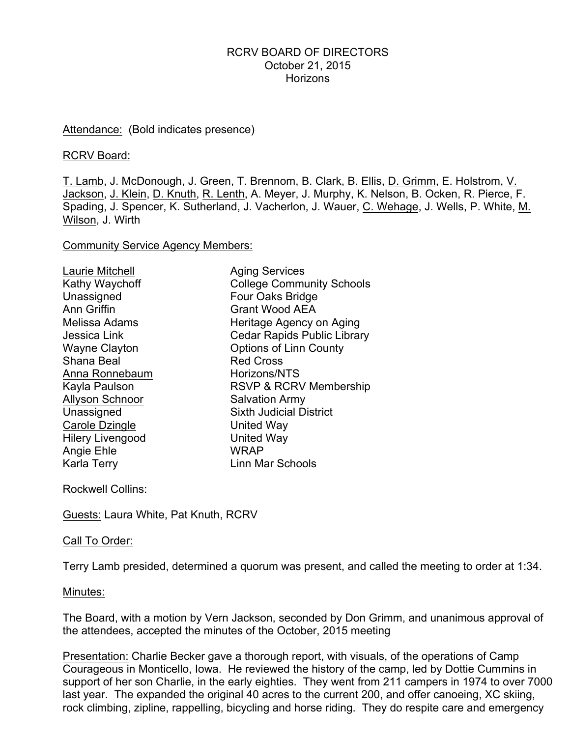#### Attendance: (Bold indicates presence)

RCRV Board:

T. Lamb, J. McDonough, J. Green, T. Brennom, B. Clark, B. Ellis, D. Grimm, E. Holstrom, V. Jackson, J. Klein, D. Knuth, R. Lenth, A. Meyer, J. Murphy, K. Nelson, B. Ocken, R. Pierce, F. Spading, J. Spencer, K. Sutherland, J. Vacherlon, J. Wauer, C. Wehage, J. Wells, P. White, M. Wilson, J. Wirth

Community Service Agency Members:

| <b>Laurie Mitchell</b>  | <b>Aging Services</b>              |
|-------------------------|------------------------------------|
| Kathy Waychoff          | <b>College Community Schools</b>   |
| Unassigned              | Four Oaks Bridge                   |
| Ann Griffin             | <b>Grant Wood AEA</b>              |
| Melissa Adams           | Heritage Agency on Aging           |
| Jessica Link            | <b>Cedar Rapids Public Library</b> |
| <b>Wayne Clayton</b>    | <b>Options of Linn County</b>      |
| Shana Beal              | <b>Red Cross</b>                   |
| Anna Ronnebaum          | Horizons/NTS                       |
| Kayla Paulson           | RSVP & RCRV Membership             |
| <b>Allyson Schnoor</b>  | <b>Salvation Army</b>              |
| Unassigned              | <b>Sixth Judicial District</b>     |
| Carole Dzingle          | United Way                         |
| <b>Hilery Livengood</b> | <b>United Way</b>                  |
| Angie Ehle              | <b>WRAP</b>                        |
| Karla Terry             | Linn Mar Schools                   |

Rockwell Collins:

Guests: Laura White, Pat Knuth, RCRV

Call To Order:

Terry Lamb presided, determined a quorum was present, and called the meeting to order at 1:34.

Minutes:

The Board, with a motion by Vern Jackson, seconded by Don Grimm, and unanimous approval of the attendees, accepted the minutes of the October, 2015 meeting

Presentation: Charlie Becker gave a thorough report, with visuals, of the operations of Camp Courageous in Monticello, Iowa. He reviewed the history of the camp, led by Dottie Cummins in support of her son Charlie, in the early eighties. They went from 211 campers in 1974 to over 7000 last year. The expanded the original 40 acres to the current 200, and offer canoeing, XC skiing, rock climbing, zipline, rappelling, bicycling and horse riding. They do respite care and emergency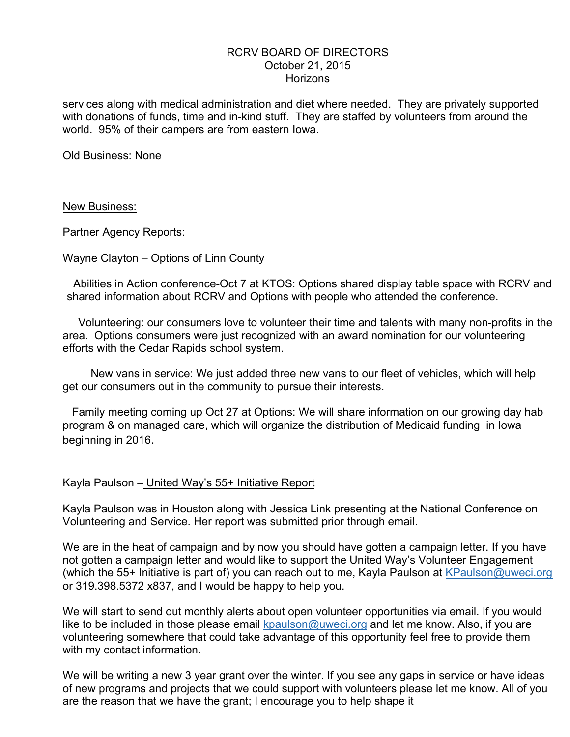services along with medical administration and diet where needed. They are privately supported with donations of funds, time and in-kind stuff. They are staffed by volunteers from around the world. 95% of their campers are from eastern Iowa.

Old Business: None

New Business:

Partner Agency Reports:

Wayne Clayton – Options of Linn County

 Abilities in Action conference-Oct 7 at KTOS: Options shared display table space with RCRV and shared information about RCRV and Options with people who attended the conference.

Volunteering: our consumers love to volunteer their time and talents with many non-profits in the area. Options consumers were just recognized with an award nomination for our volunteering efforts with the Cedar Rapids school system.

New vans in service: We just added three new vans to our fleet of vehicles, which will help get our consumers out in the community to pursue their interests.

Family meeting coming up Oct 27 at Options: We will share information on our growing day hab program & on managed care, which will organize the distribution of Medicaid funding in Iowa beginning in 2016.

#### Kayla Paulson – United Way's 55+ Initiative Report

Kayla Paulson was in Houston along with Jessica Link presenting at the National Conference on Volunteering and Service. Her report was submitted prior through email.

We are in the heat of campaign and by now you should have gotten a campaign letter. If you have not gotten a campaign letter and would like to support the United Way's Volunteer Engagement (which the 55+ Initiative is part of) you can reach out to me, Kayla Paulson at KPaulson@uweci.org or 319.398.5372 x837, and I would be happy to help you.

We will start to send out monthly alerts about open volunteer opportunities via email. If you would like to be included in those please email kpaulson@uweci.org and let me know. Also, if you are volunteering somewhere that could take advantage of this opportunity feel free to provide them with my contact information.

We will be writing a new 3 year grant over the winter. If you see any gaps in service or have ideas of new programs and projects that we could support with volunteers please let me know. All of you are the reason that we have the grant; I encourage you to help shape it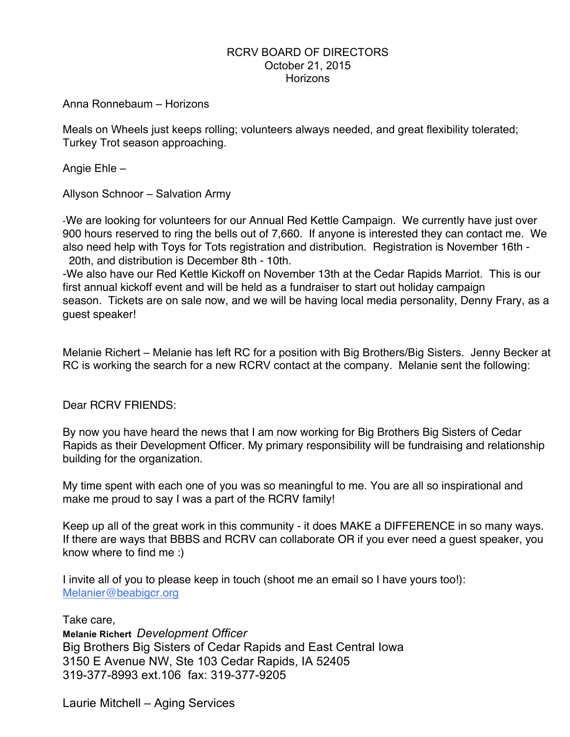#### Anna Ronnebaum – Horizons

Meals on Wheels just keeps rolling; volunteers always needed, and great flexibility tolerated; Turkey Trot season approaching.

Angie Ehle –

Allyson Schnoor – Salvation Army

-We are looking for volunteers for our Annual Red Kettle Campaign. We currently have just over 900 hours reserved to ring the bells out of 7,660. If anyone is interested they can contact me. We also need help with Toys for Tots registration and distribution. Registration is November 16th - 20th, and distribution is December 8th - 10th.

-We also have our Red Kettle Kickoff on November 13th at the Cedar Rapids Marriot. This is our first annual kickoff event and will be held as a fundraiser to start out holiday campaign season. Tickets are on sale now, and we will be having local media personality, Denny Frary, as a guest speaker!

Melanie Richert – Melanie has left RC for a position with Big Brothers/Big Sisters. Jenny Becker at RC is working the search for a new RCRV contact at the company. Melanie sent the following:

Dear RCRV FRIENDS:

By now you have heard the news that I am now working for Big Brothers Big Sisters of Cedar Rapids as their Development Officer. My primary responsibility will be fundraising and relationship building for the organization.

My time spent with each one of you was so meaningful to me. You are all so inspirational and make me proud to say I was a part of the RCRV family!

Keep up all of the great work in this community - it does MAKE a DIFFERENCE in so many ways. If there are ways that BBBS and RCRV can collaborate OR if you ever need a guest speaker, you know where to find me :)

I invite all of you to please keep in touch (shoot me an email so I have yours too!): Melanier@beabigcr.org

Take care, **Melanie Richert** *Development Officer* Big Brothers Big Sisters of Cedar Rapids and East Central Iowa 3150 E Avenue NW, Ste 103 Cedar Rapids, IA 52405 319-377-8993 ext.106 fax: 319-377-9205

Laurie Mitchell – Aging Services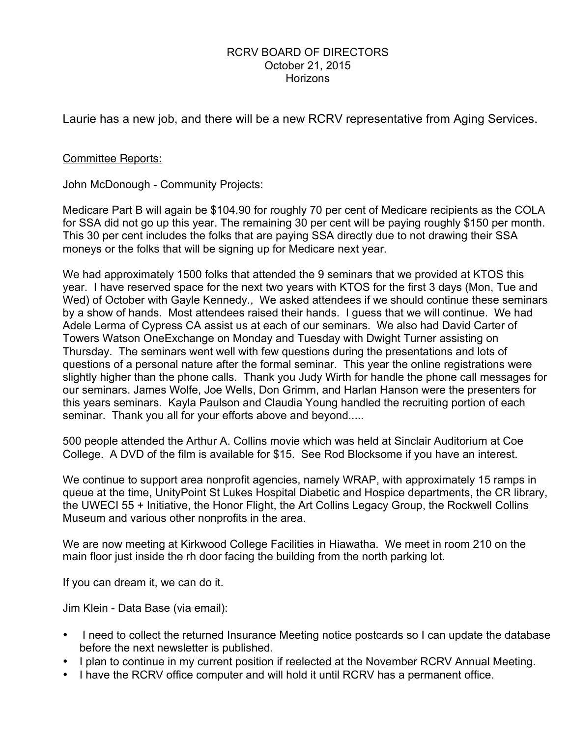Laurie has a new job, and there will be a new RCRV representative from Aging Services.

### Committee Reports:

John McDonough - Community Projects:

Medicare Part B will again be \$104.90 for roughly 70 per cent of Medicare recipients as the COLA for SSA did not go up this year. The remaining 30 per cent will be paying roughly \$150 per month. This 30 per cent includes the folks that are paying SSA directly due to not drawing their SSA moneys or the folks that will be signing up for Medicare next year.

We had approximately 1500 folks that attended the 9 seminars that we provided at KTOS this year. I have reserved space for the next two years with KTOS for the first 3 days (Mon, Tue and Wed) of October with Gayle Kennedy., We asked attendees if we should continue these seminars by a show of hands. Most attendees raised their hands. I guess that we will continue. We had Adele Lerma of Cypress CA assist us at each of our seminars. We also had David Carter of Towers Watson OneExchange on Monday and Tuesday with Dwight Turner assisting on Thursday. The seminars went well with few questions during the presentations and lots of questions of a personal nature after the formal seminar. This year the online registrations were slightly higher than the phone calls. Thank you Judy Wirth for handle the phone call messages for our seminars. James Wolfe, Joe Wells, Don Grimm, and Harlan Hanson were the presenters for this years seminars. Kayla Paulson and Claudia Young handled the recruiting portion of each seminar. Thank you all for your efforts above and beyond.....

500 people attended the Arthur A. Collins movie which was held at Sinclair Auditorium at Coe College. A DVD of the film is available for \$15. See Rod Blocksome if you have an interest.

We continue to support area nonprofit agencies, namely WRAP, with approximately 15 ramps in queue at the time, UnityPoint St Lukes Hospital Diabetic and Hospice departments, the CR library, the UWECI 55 + Initiative, the Honor Flight, the Art Collins Legacy Group, the Rockwell Collins Museum and various other nonprofits in the area.

We are now meeting at Kirkwood College Facilities in Hiawatha. We meet in room 210 on the main floor just inside the rh door facing the building from the north parking lot.

If you can dream it, we can do it.

Jim Klein - Data Base (via email):

- I need to collect the returned Insurance Meeting notice postcards so I can update the database before the next newsletter is published.
- I plan to continue in my current position if reelected at the November RCRV Annual Meeting.
- I have the RCRV office computer and will hold it until RCRV has a permanent office.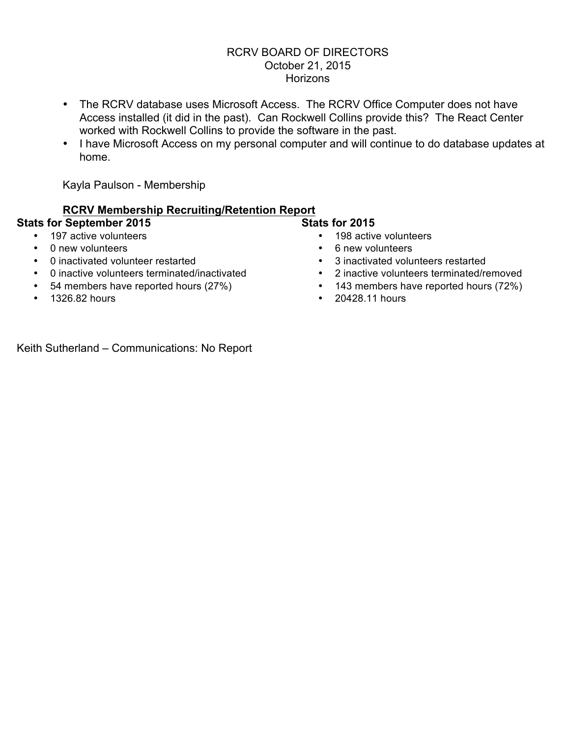- The RCRV database uses Microsoft Access. The RCRV Office Computer does not have Access installed (it did in the past). Can Rockwell Collins provide this? The React Center worked with Rockwell Collins to provide the software in the past.
- I have Microsoft Access on my personal computer and will continue to do database updates at home.

Kayla Paulson - Membership

# **RCRV Membership Recruiting/Retention Report**

## **Stats for September 2015**

# **Stats for 2015**

- 197 active volunteers
- 0 new volunteers
- 0 inactivated volunteer restarted
- 0 inactive volunteers terminated/inactivated
- 54 members have reported hours (27%)
- 1326.82 hours
- 198 active volunteers
- 6 new volunteers
- 3 inactivated volunteers restarted
- 2 inactive volunteers terminated/removed
- 143 members have reported hours (72%)
- 20428.11 hours

Keith Sutherland – Communications: No Report